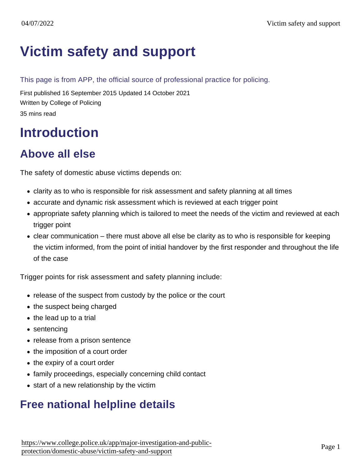# [Victim safety and support](https://www.college.police.uk/app/major-investigation-and-public-protection/domestic-abuse/victim-safety-and-support)

This page is from APP, the official source of professional practice for policing.

First published 16 September 2015 Updated 14 October 2021 Written by College of Policing 35 mins read

# **Introduction**

# Above all else

The safety of domestic abuse victims depends on:

- clarity as to who is responsible for risk assessment and safety planning at all times
- accurate and dynamic risk assessment which is reviewed at each trigger point
- appropriate safety planning which is tailored to meet the needs of the victim and reviewed at each trigger point
- clear communication there must above all else be clarity as to who is responsible for keeping the victim informed, from the point of initial handover by the first responder and throughout the life of the case

Trigger points for risk assessment and safety planning include:

- release of the suspect from custody by the police or the court
- the suspect being charged
- the lead up to a trial
- sentencing
- release from a prison sentence
- the imposition of a court order
- the expiry of a court order
- family proceedings, especially concerning child contact
- start of a new relationship by the victim

# Free national helpline details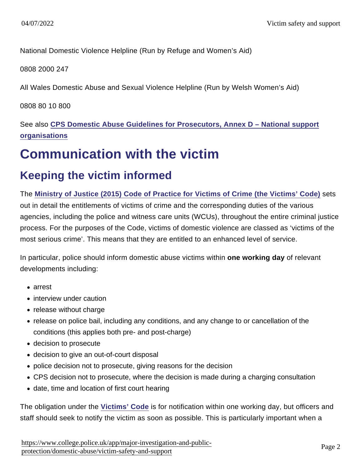National Domestic Violence Helpline (Run by Refuge and Women's Aid)

0808 2000 247

All Wales Domestic Abuse and Sexual Violence Helpline (Run by Welsh Women's Aid)

0808 80 10 800

See also [CPS Domestic Abuse Guidelines for Prosecutors, Annex D – National support](http://www.cps.gov.uk/legal/d_to_g/domestic_abuse_guidelines_for_prosecutors/#a93) [organisations](http://www.cps.gov.uk/legal/d_to_g/domestic_abuse_guidelines_for_prosecutors/#a93)

# Communication with the victim

# Keeping the victim informed

The [Ministry of Justice \(2015\) Code of Practice for Victims of Crime \(the Victims' Code\)](https://www.gov.uk/government/uploads/system/uploads/attachment_data/file/470212/code-of-practice-for-victims-of-crime.PDF) sets out in detail the entitlements of victims of crime and the corresponding duties of the various agencies, including the police and witness care units (WCUs), throughout the entire criminal justice process. For the purposes of the Code, victims of domestic violence are classed as 'victims of the most serious crime'. This means that they are entitled to an enhanced level of service.

In particular, police should inform domestic abuse victims within one working day of relevant developments including:

- arrest
- interview under caution
- release without charge
- release on police bail, including any conditions, and any change to or cancellation of the conditions (this applies both pre- and post-charge)
- decision to prosecute
- decision to give an out-of-court disposal
- police decision not to prosecute, giving reasons for the decision
- CPS decision not to prosecute, where the decision is made during a charging consultation
- date, time and location of first court hearing

The obligation under the [Victims' Code](https://www.gov.uk/government/uploads/system/uploads/attachment_data/file/470212/code-of-practice-for-victims-of-crime.PDF) is for notification within one working day, but officers and staff should seek to notify the victim as soon as possible. This is particularly important when a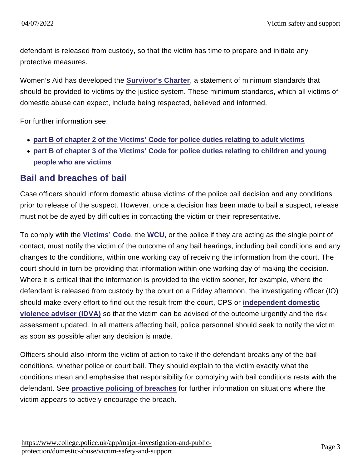defendant is released from custody, so that the victim has time to prepare and initiate any protective measures.

Women's Aid has developed the [Survivor's Charter](http://www.womensaid.org.uk/core/core_picker/download.asp?id=4390) , a statement of minimum standards that should be provided to victims by the justice system. These minimum standards, which all victims of domestic abuse can expect, include being respected, believed and informed.

For further information see:

- [part B of chapter 2 of the Victims' Code for police duties relating to adult victims](https://www.gov.uk/government/uploads/system/uploads/attachment_data/file/470212/code-of-practice-for-victims-of-crime.PDF)
- [part B of chapter 3 of the Victims' Code for police duties relating to children and young](https://www.gov.uk/government/uploads/system/uploads/attachment_data/file/470212/code-of-practice-for-victims-of-crime.PDF) [people who are victims](https://www.gov.uk/government/uploads/system/uploads/attachment_data/file/470212/code-of-practice-for-victims-of-crime.PDF)

## Bail and breaches of bail

Case officers should inform domestic abuse victims of the police bail decision and any conditions prior to release of the suspect. However, once a decision has been made to bail a suspect, release must not be delayed by difficulties in contacting the victim or their representative.

To comply with the [Victims' Code](https://www.gov.uk/government/uploads/system/uploads/attachment_data/file/470212/code-of-practice-for-victims-of-crime.PDF) , the [WCU](https://www.app.college.police.uk/app-content/major-investigation-and-public-protection/domestic-abuse/victim-safety-and-support/#witness-care-units), or the police if they are acting as the single point of contact, must notify the victim of the outcome of any bail hearings, including bail conditions and any changes to the conditions, within one working day of receiving the information from the court. The court should in turn be providing that information within one working day of making the decision. Where it is critical that the information is provided to the victim sooner, for example, where the defendant is released from custody by the court on a Friday afternoon, the investigating officer (IO) should make every effort to find out the result from the court, CPS or [independent domestic](https://www.app.college.police.uk/app-content/major-investigation-and-public-protection/domestic-abuse/victim-safety-and-support/#independent-domestic-violence-adviser-young-people8217s-violence-adviser-and-independent-sexual-violence-advisers) [violence adviser \(IDVA\)](https://www.app.college.police.uk/app-content/major-investigation-and-public-protection/domestic-abuse/victim-safety-and-support/#independent-domestic-violence-adviser-young-people8217s-violence-adviser-and-independent-sexual-violence-advisers) so that the victim can be advised of the outcome urgently and the risk assessment updated. In all matters affecting bail, police personnel should seek to notify the victim as soon as possible after any decision is made.

Officers should also inform the victim of action to take if the defendant breaks any of the bail conditions, whether police or court bail. They should explain to the victim exactly what the conditions mean and emphasise that responsibility for complying with bail conditions rests with the defendant. See [proactive policing of breaches](https://www.app.college.police.uk/app-content/major-investigation-and-public-protection/domestic-abuse/post-arrest-management-of-suspect-and-casefile/#proactive-policing-of-breaches-) for further information on situations where the victim appears to actively encourage the breach.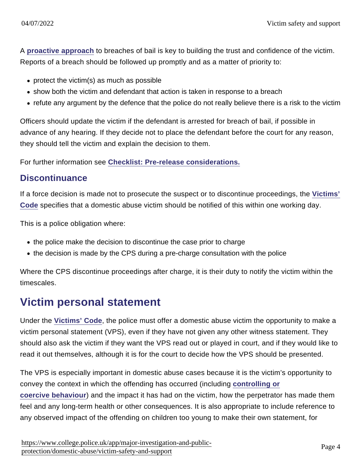A [proactive approach](https://www.app.college.police.uk/app-content/major-investigation-and-public-protection/domestic-abuse/post-arrest-management-of-suspect-and-casefile/#proactive-policing-of-breaches-) to breaches of bail is key to building the trust and confidence of the victim. Reports of a breach should be followed up promptly and as a matter of priority to:

- protect the victim(s) as much as possible
- show both the victim and defendant that action is taken in response to a breach
- refute any argument by the defence that the police do not really believe there is a risk to the victim

Officers should update the victim if the defendant is arrested for breach of bail, if possible in advance of any hearing. If they decide not to place the defendant before the court for any reason, they should tell the victim and explain the decision to them.

For further information see [Checklist: Pre-release considerations.](https://www.app.college.police.uk/app-content/major-investigation-and-public-protection/domestic-abuse/post-arrest-management-of-suspect-and-casefile/#checklist-pre-release-considerations)

#### **Discontinuance**

If a force decision is made not to prosecute the suspect or to discontinue proceedings, the [Victims'](https://www.gov.uk/government/uploads/system/uploads/attachment_data/file/470212/code-of-practice-for-victims-of-crime.PDF) [Code](https://www.gov.uk/government/uploads/system/uploads/attachment_data/file/470212/code-of-practice-for-victims-of-crime.PDF) specifies that a domestic abuse victim should be notified of this within one working day.

This is a police obligation where:

- the police make the decision to discontinue the case prior to charge
- the decision is made by the CPS during a pre-charge consultation with the police

Where the CPS discontinue proceedings after charge, it is their duty to notify the victim within the timescales.

## Victim personal statement

Under the [Victims' Code](https://www.gov.uk/government/uploads/system/uploads/attachment_data/file/470212/code-of-practice-for-victims-of-crime.PDF) , the police must offer a domestic abuse victim the opportunity to make a victim personal statement (VPS), even if they have not given any other witness statement. They should also ask the victim if they want the VPS read out or played in court, and if they would like to read it out themselves, although it is for the court to decide how the VPS should be presented.

The VPS is especially important in domestic abuse cases because it is the victim's opportunity to convey the context in which the offending has occurred (including [controlling or](https://www.app.college.police.uk/app-content/major-investigation-and-public-protection/domestic-abuse/context/#coercive-and-controlling-behaviour) [coercive behaviour](https://www.app.college.police.uk/app-content/major-investigation-and-public-protection/domestic-abuse/context/#coercive-and-controlling-behaviour) ) and the impact it has had on the victim, how the perpetrator has made them feel and any long-term health or other consequences. It is also appropriate to include reference to any observed impact of the offending on children too young to make their own statement, for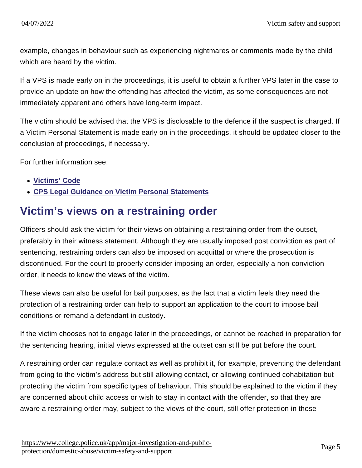example, changes in behaviour such as experiencing nightmares or comments made by the child which are heard by the victim.

If a VPS is made early on in the proceedings, it is useful to obtain a further VPS later in the case to provide an update on how the offending has affected the victim, as some consequences are not immediately apparent and others have long-term impact.

The victim should be advised that the VPS is disclosable to the defence if the suspect is charged. If a Victim Personal Statement is made early on in the proceedings, it should be updated closer to the conclusion of proceedings, if necessary.

For further information see:

- [Victims' Code](https://www.gov.uk/government/uploads/system/uploads/attachment_data/file/470212/code-of-practice-for-victims-of-crime.PDF)
- [CPS Legal Guidance on Victim Personal Statements](http://www.cps.gov.uk/legal/v_to_z/victim_personal_statements/)

## Victim's views on a restraining order

Officers should ask the victim for their views on obtaining a restraining order from the outset, preferably in their witness statement. Although they are usually imposed post conviction as part of sentencing, restraining orders can also be imposed on acquittal or where the prosecution is discontinued. For the court to properly consider imposing an order, especially a non-conviction order, it needs to know the views of the victim.

These views can also be useful for bail purposes, as the fact that a victim feels they need the protection of a restraining order can help to support an application to the court to impose bail conditions or remand a defendant in custody.

If the victim chooses not to engage later in the proceedings, or cannot be reached in preparation for the sentencing hearing, initial views expressed at the outset can still be put before the court.

A restraining order can regulate contact as well as prohibit it, for example, preventing the defendant from going to the victim's address but still allowing contact, or allowing continued cohabitation but protecting the victim from specific types of behaviour. This should be explained to the victim if they are concerned about child access or wish to stay in contact with the offender, so that they are aware a restraining order may, subject to the views of the court, still offer protection in those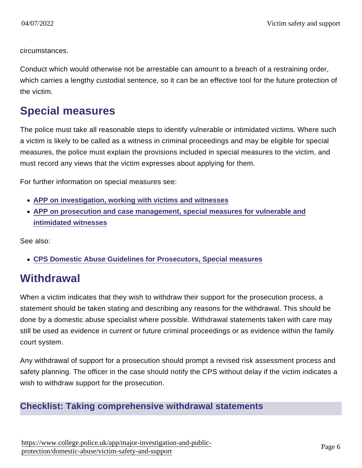circumstances.

Conduct which would otherwise not be arrestable can amount to a breach of a restraining order, which carries a lengthy custodial sentence, so it can be an effective tool for the future protection of the victim.

# Special measures

The police must take all reasonable steps to identify vulnerable or intimidated victims. Where such a victim is likely to be called as a witness in criminal proceedings and may be eligible for special measures, the police must explain the provisions included in special measures to the victim, and must record any views that the victim expresses about applying for them.

For further information on special measures see:

- [APP on investigation, working with victims and witnesses](https://www.app.college.police.uk/app-content/investigations/victims-and-witnesses/)
- [APP on prosecution and case management, special measures for vulnerable and](https://www.app.college.police.uk/app-content/prosecution-and-case-management/victim-and-witness-care/#special-measures-for-vulnerable-and-intimidated-witnesses) [intimidated witnesses](https://www.app.college.police.uk/app-content/prosecution-and-case-management/victim-and-witness-care/#special-measures-for-vulnerable-and-intimidated-witnesses)

See also:

[CPS Domestic Abuse Guidelines for Prosecutors, Special measures](http://www.cps.gov.uk/legal/d_to_g/domestic_abuse_guidelines_for_prosecutors/#a59)

# **Withdrawal**

When a victim indicates that they wish to withdraw their support for the prosecution process, a statement should be taken stating and describing any reasons for the withdrawal. This should be done by a domestic abuse specialist where possible. Withdrawal statements taken with care may still be used as evidence in current or future criminal proceedings or as evidence within the family court system.

Any withdrawal of support for a prosecution should prompt a revised risk assessment process and safety planning. The officer in the case should notify the CPS without delay if the victim indicates a wish to withdraw support for the prosecution.

#### Checklist: Taking comprehensive withdrawal statements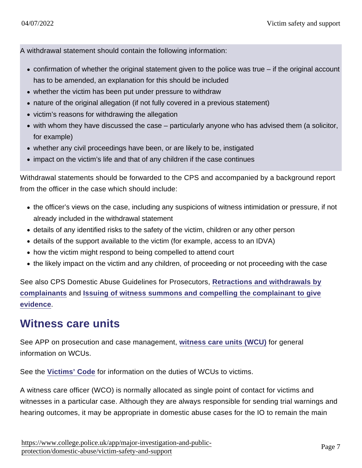A withdrawal statement should contain the following information:

- confirmation of whether the original statement given to the police was true if the original account has to be amended, an explanation for this should be included
- whether the victim has been put under pressure to withdraw
- nature of the original allegation (if not fully covered in a previous statement)
- victim's reasons for withdrawing the allegation
- with whom they have discussed the case particularly anyone who has advised them (a solicitor, for example)
- whether any civil proceedings have been, or are likely to be, instigated
- impact on the victim's life and that of any children if the case continues

Withdrawal statements should be forwarded to the CPS and accompanied by a background report from the officer in the case which should include:

- the officer's views on the case, including any suspicions of witness intimidation or pressure, if not already included in the withdrawal statement
- details of any identified risks to the safety of the victim, children or any other person
- details of the support available to the victim (for example, access to an IDVA)
- how the victim might respond to being compelled to attend court
- the likely impact on the victim and any children, of proceeding or not proceeding with the case

See also CPS Domestic Abuse Guidelines for Prosecutors, [Retractions and withdrawals by](http://www.cps.gov.uk/legal/d_to_g/domestic_abuse_guidelines_for_prosecutors/#a39) [complainants](http://www.cps.gov.uk/legal/d_to_g/domestic_abuse_guidelines_for_prosecutors/#a39) and [Issuing of witness summons and compelling the complainant to give](http://www.cps.gov.uk/legal/d_to_g/domestic_abuse_guidelines_for_prosecutors/#a44) [evidence](http://www.cps.gov.uk/legal/d_to_g/domestic_abuse_guidelines_for_prosecutors/#a44) .

## Witness care units

See APP on prosecution and case management, [witness care units \(WCU\)](https://www.app.college.police.uk/app-content/prosecution-and-case-management/victim-and-witness-care/?#witness-care-units) for general information on WCUs.

See the [Victims' Code](https://www.gov.uk/government/uploads/system/uploads/attachment_data/file/470212/code-of-practice-for-victims-of-crime.PDF) for information on the duties of WCUs to victims.

A witness care officer (WCO) is normally allocated as single point of contact for victims and witnesses in a particular case. Although they are always responsible for sending trial warnings and hearing outcomes, it may be appropriate in domestic abuse cases for the IO to remain the main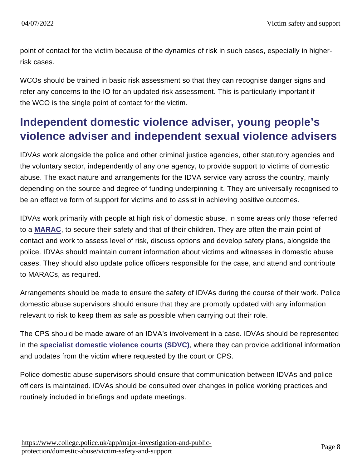point of contact for the victim because of the dynamics of risk in such cases, especially in higherrisk cases.

WCOs should be trained in basic risk assessment so that they can recognise danger signs and refer any concerns to the IO for an updated risk assessment. This is particularly important if the WCO is the single point of contact for the victim.

# Independent domestic violence adviser, young people's violence adviser and independent sexual violence advisers

IDVAs work alongside the police and other criminal justice agencies, other statutory agencies and the voluntary sector, independently of any one agency, to provide support to victims of domestic abuse. The exact nature and arrangements for the IDVA service vary across the country, mainly depending on the source and degree of funding underpinning it. They are universally recognised to be an effective form of support for victims and to assist in achieving positive outcomes.

IDVAs work primarily with people at high risk of domestic abuse, in some areas only those referred to a [MARAC,](https://www.app.college.police.uk/app-content/major-investigation-and-public-protection/domestic-abuse/partnership-working-and-multi-agency-responses/#multi-agency-risk-assessment-conferences-for-domestic-abuse-) to secure their safety and that of their children. They are often the main point of contact and work to assess level of risk, discuss options and develop safety plans, alongside the police. IDVAs should maintain current information about victims and witnesses in domestic abuse cases. They should also update police officers responsible for the case, and attend and contribute to MARACs, as required.

Arrangements should be made to ensure the safety of IDVAs during the course of their work. Police domestic abuse supervisors should ensure that they are promptly updated with any information relevant to risk to keep them as safe as possible when carrying out their role.

The CPS should be made aware of an IDVA's involvement in a case. IDVAs should be represented in the [specialist domestic violence courts \(SDVC\)](https://www.app.college.police.uk/app-content/major-investigation-and-public-protection/domestic-abuse/partnership-working-and-multi-agency-responses/#specialist-domestic-violence-court-systems), where they can provide additional information and updates from the victim where requested by the court or CPS.

Police domestic abuse supervisors should ensure that communication between IDVAs and police officers is maintained. IDVAs should be consulted over changes in police working practices and routinely included in briefings and update meetings.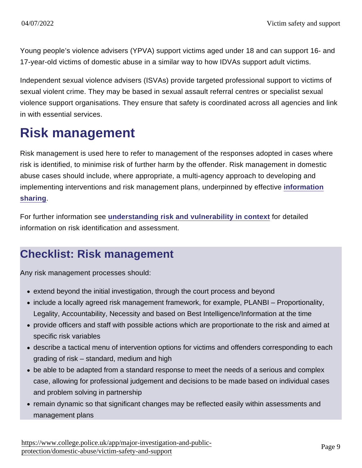Young people's violence advisers (YPVA) support victims aged under 18 and can support 16- and 17-year-old victims of domestic abuse in a similar way to how IDVAs support adult victims.

Independent sexual violence advisers (ISVAs) provide targeted professional support to victims of sexual violent crime. They may be based in sexual assault referral centres or specialist sexual violence support organisations. They ensure that safety is coordinated across all agencies and link in with essential services.

# Risk management

Risk management is used here to refer to management of the responses adopted in cases where risk is identified, to minimise risk of further harm by the offender. Risk management in domestic abuse cases should include, where appropriate, a multi-agency approach to developing and implementing interventions and risk management plans, underpinned by effective [information](https://www.app.college.police.uk/app-content/major-investigation-and-public-protection/domestic-abuse/partnership-working-and-multi-agency-responses/#partnership-working-and-information-sharing) [sharing](https://www.app.college.police.uk/app-content/major-investigation-and-public-protection/domestic-abuse/partnership-working-and-multi-agency-responses/#partnership-working-and-information-sharing) .

For further information see [understanding risk and vulnerability in context](https://www.app.college.police.uk/app-content/major-investigation-and-public-protection/domestic-abuse/risk-and-vulnerability/) for detailed information on risk identification and assessment.

# Checklist: Risk management

Any risk management processes should:

- extend beyond the initial investigation, through the court process and beyond
- include a locally agreed risk management framework, for example, PLANBI Proportionality, Legality, Accountability, Necessity and based on Best Intelligence/Information at the time
- provide officers and staff with possible actions which are proportionate to the risk and aimed at specific risk variables
- describe a tactical menu of intervention options for victims and offenders corresponding to each grading of risk – standard, medium and high
- be able to be adapted from a standard response to meet the needs of a serious and complex case, allowing for professional judgement and decisions to be made based on individual cases and problem solving in partnership
- remain dynamic so that significant changes may be reflected easily within assessments and management plans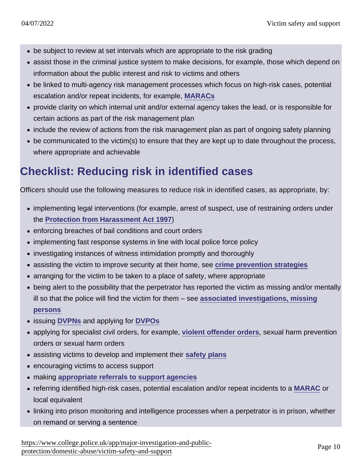- be subject to review at set intervals which are appropriate to the risk grading
- assist those in the criminal justice system to make decisions, for example, those which depend on information about the public interest and risk to victims and others
- be linked to multi-agency risk management processes which focus on high-risk cases, potential escalation and/or repeat incidents, for example, [MARACs](https://www.app.college.police.uk/app-content/major-investigation-and-public-protection/domestic-abuse/partnership-working-and-multi-agency-responses/#multi-agency-risk-assessment-conferences-for-domestic-abuse-)
- provide clarity on which internal unit and/or external agency takes the lead, or is responsible for certain actions as part of the risk management plan
- include the review of actions from the risk management plan as part of ongoing safety planning
- be communicated to the victim(s) to ensure that they are kept up to date throughout the process, where appropriate and achievable

# Checklist: Reducing risk in identified cases

Officers should use the following measures to reduce risk in identified cases, as appropriate, by:

- implementing legal interventions (for example, arrest of suspect, use of restraining orders under the [Protection from Harassment Act 1997](http://www.legislation.gov.uk/ukpga/1997/40/contents) )
- enforcing breaches of bail conditions and court orders
- implementing fast response systems in line with local police force policy
- investigating instances of witness intimidation promptly and thoroughly
- assisting the victim to improve security at their home, see [crime prevention strategies](https://www.app.college.police.uk/app-content/major-investigation-and-public-protection/domestic-abuse/victim-safety-and-support/#crime-prevention-strategies)
- arranging for the victim to be taken to a place of safety, where appropriate
- being alert to the possibility that the perpetrator has reported the victim as missing and/or mentally ill so that the police will find the victim for them – see [associated investigations, missing](https://www.app.college.police.uk/app-content/major-investigation-and-public-protection/domestic-abuse/identification-reporting-and-associated-investigations/#missing-persons-investigations) [persons](https://www.app.college.police.uk/app-content/major-investigation-and-public-protection/domestic-abuse/identification-reporting-and-associated-investigations/#missing-persons-investigations)
- issuing [DVPNs](https://www.app.college.police.uk/app-content/major-investigation-and-public-protection/domestic-abuse/arrest-and-other-positive-approaches/domestic-violence-protection-notices-and-domestic-violence-protection-orders/#domestic-violence-protection-notices) and applying for [DVPOs](https://www.app.college.police.uk/app-content/major-investigation-and-public-protection/domestic-abuse/arrest-and-other-positive-approaches/domestic-violence-protection-notices-and-domestic-violence-protection-orders/#domestic-violence-protection-orders)
- applying for specialist civil orders, for example, [violent offender orders](https://www.app.college.police.uk/app-content/major-investigation-and-public-protection/domestic-abuse/arrest-and-other-positive-approaches/#violent-offender-order), sexual harm prevention orders or sexual harm orders
- assisting victims to develop and implement their [safety plans](https://www.app.college.police.uk/app-content/major-investigation-and-public-protection/domestic-abuse/victim-safety-and-support/#developing-safety-plans)
- encouraging victims to access support
- making [appropriate referrals to support agencies](https://www.app.college.police.uk/app-content/major-investigation-and-public-protection/domestic-abuse/first-response/#referrals-to-voluntary-sector-support-agencies)
- referring identified high-risk cases, potential escalation and/or repeat incidents to a [MARAC](https://www.app.college.police.uk/app-content/major-investigation-and-public-protection/domestic-abuse/partnership-working-and-multi-agency-responses/#multi-agency-risk-assessment-conferences-for-domestic-abuse-) or local equivalent
- linking into prison monitoring and intelligence processes when a perpetrator is in prison, whether on remand or serving a sentence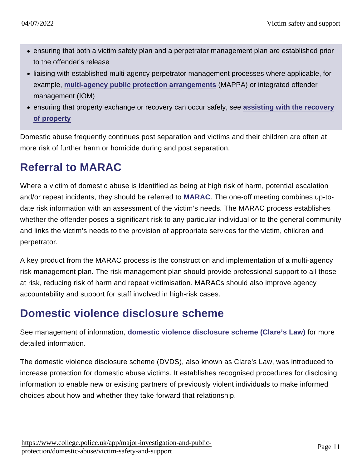- ensuring that both a victim safety plan and a perpetrator management plan are established prior to the offender's release
- liaising with established multi-agency perpetrator management processes where applicable, for example, [multi-agency public protection arrangements](https://www.app.college.police.uk/app-content/major-investigation-and-public-protection/domestic-abuse/partnership-working-and-multi-agency-responses/#multi-agency-public-protection-arrangements-) (MAPPA) or integrated offender management (IOM)
- ensuring that property exchange or recovery can occur safely, see [assisting with the recovery](https://www.app.college.police.uk/app-content/major-investigation-and-public-protection/domestic-abuse/post-arrest-management-of-suspect-and-casefile/#assisting-with-the-recovery-of-property) [of property](https://www.app.college.police.uk/app-content/major-investigation-and-public-protection/domestic-abuse/post-arrest-management-of-suspect-and-casefile/#assisting-with-the-recovery-of-property)

Domestic abuse frequently continues post separation and victims and their children are often at more risk of further harm or homicide during and post separation.

# Referral to MARAC

Where a victim of domestic abuse is identified as being at high risk of harm, potential escalation and/or repeat incidents, they should be referred to [MARAC](https://www.app.college.police.uk/app-content/major-investigation-and-public-protection/domestic-abuse/partnership-working-and-multi-agency-responses/#multi-agency-risk-assessment-conferences-for-domestic-abuse-). The one-off meeting combines up-todate risk information with an assessment of the victim's needs. The MARAC process establishes whether the offender poses a significant risk to any particular individual or to the general community and links the victim's needs to the provision of appropriate services for the victim, children and perpetrator.

A key product from the MARAC process is the construction and implementation of a multi-agency risk management plan. The risk management plan should provide professional support to all those at risk, reducing risk of harm and repeat victimisation. MARACs should also improve agency accountability and support for staff involved in high-risk cases.

# Domestic violence disclosure scheme

See management of information, [domestic violence disclosure scheme \(Clare's Law\)](https://www.app.college.police.uk/app-content/major-investigation-and-public-protection/domestic-abuse/leadership-strategic-oversight-and-management/#domestic-violence-disclosure-scheme-clares-law) for more detailed information.

The domestic violence disclosure scheme (DVDS), also known as Clare's Law, was introduced to increase protection for domestic abuse victims. It establishes recognised procedures for disclosing information to enable new or existing partners of previously violent individuals to make informed choices about how and whether they take forward that relationship.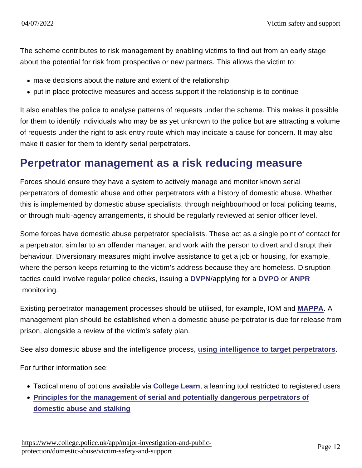The scheme contributes to risk management by enabling victims to find out from an early stage about the potential for risk from prospective or new partners. This allows the victim to:

- make decisions about the nature and extent of the relationship
- put in place protective measures and access support if the relationship is to continue

It also enables the police to analyse patterns of requests under the scheme. This makes it possible for them to identify individuals who may be as yet unknown to the police but are attracting a volume of requests under the right to ask entry route which may indicate a cause for concern. It may also make it easier for them to identify serial perpetrators.

## Perpetrator management as a risk reducing measure

Forces should ensure they have a system to actively manage and monitor known serial perpetrators of domestic abuse and other perpetrators with a history of domestic abuse. Whether this is implemented by domestic abuse specialists, through neighbourhood or local policing teams, or through multi-agency arrangements, it should be regularly reviewed at senior officer level.

Some forces have domestic abuse perpetrator specialists. These act as a single point of contact for a perpetrator, similar to an offender manager, and work with the person to divert and disrupt their behaviour. Diversionary measures might involve assistance to get a job or housing, for example, where the person keeps returning to the victim's address because they are homeless. Disruption tactics could involve regular police checks, issuing a [DVPN](https://www.app.college.police.uk/app-content/major-investigation-and-public-protection/domestic-abuse/arrest-and-other-positive-approaches/domestic-violence-protection-notices-and-domestic-violence-protection-orders/#domestic-violence-protection-notices)/applying for a [DVPO](https://www.app.college.police.uk/app-content/major-investigation-and-public-protection/domestic-abuse/arrest-and-other-positive-approaches/domestic-violence-protection-notices-and-domestic-violence-protection-orders/#domestic-violence-protection-orders) or [ANPR](https://www.app.college.police.uk/app-content/major-investigation-and-public-protection/domestic-abuse/investigative-development/#automatic-number-plate-recognition) monitoring.

Existing perpetrator management processes should be utilised, for example, IOM and [MAPPA](https://www.app.college.police.uk/app-content/major-investigation-and-public-protection/domestic-abuse/partnership-working-and-multi-agency-responses/#multi-agency-public-protection-arrangements-). A management plan should be established when a domestic abuse perpetrator is due for release from prison, alongside a review of the victim's safety plan.

See also domestic abuse and the intelligence process, [using intelligence to target perpetrators](https://www.app.college.police.uk/app-content/major-investigation-and-public-protection/domestic-abuse/leadership-strategic-oversight-and-management/#using-intelligence-to-target-perpetrators).

For further information see:

- Tactical menu of options available via [College Learn](https://www.learn.college.pnn.police.uk/) , a learning tool restricted to registered users
- [Principles for the management of serial and potentially dangerous perpetrators of](https://library.college.police.uk/docs/appref/Serial-dangerous-domestic-abuse-stalking-perpetrators-principles.pdf) [domestic abuse and stalking](https://library.college.police.uk/docs/appref/Serial-dangerous-domestic-abuse-stalking-perpetrators-principles.pdf)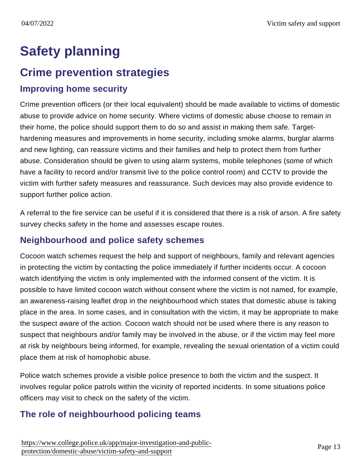# Safety planning

# Crime prevention strategies

## Improving home security

Crime prevention officers (or their local equivalent) should be made available to victims of domestic abuse to provide advice on home security. Where victims of domestic abuse choose to remain in their home, the police should support them to do so and assist in making them safe. Targethardening measures and improvements in home security, including smoke alarms, burglar alarms and new lighting, can reassure victims and their families and help to protect them from further abuse. Consideration should be given to using alarm systems, mobile telephones (some of which have a facility to record and/or transmit live to the police control room) and CCTV to provide the victim with further safety measures and reassurance. Such devices may also provide evidence to support further police action.

A referral to the fire service can be useful if it is considered that there is a risk of arson. A fire safety survey checks safety in the home and assesses escape routes.

## Neighbourhood and police safety schemes

Cocoon watch schemes request the help and support of neighbours, family and relevant agencies in protecting the victim by contacting the police immediately if further incidents occur. A cocoon watch identifying the victim is only implemented with the informed consent of the victim. It is possible to have limited cocoon watch without consent where the victim is not named, for example, an awareness-raising leaflet drop in the neighbourhood which states that domestic abuse is taking place in the area. In some cases, and in consultation with the victim, it may be appropriate to make the suspect aware of the action. Cocoon watch should not be used where there is any reason to suspect that neighbours and/or family may be involved in the abuse, or if the victim may feel more at risk by neighbours being informed, for example, revealing the sexual orientation of a victim could place them at risk of homophobic abuse.

Police watch schemes provide a visible police presence to both the victim and the suspect. It involves regular police patrols within the vicinity of reported incidents. In some situations police officers may visit to check on the safety of the victim.

## The role of neighbourhood policing teams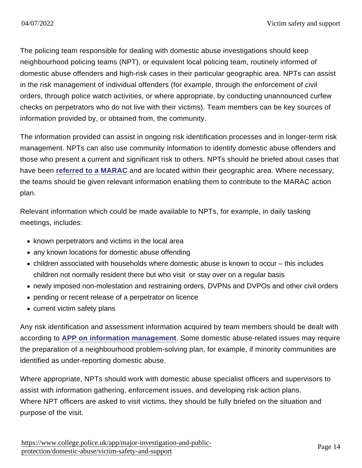The policing team responsible for dealing with domestic abuse investigations should keep neighbourhood policing teams (NPT), or equivalent local policing team, routinely informed of domestic abuse offenders and high-risk cases in their particular geographic area. NPTs can assist in the risk management of individual offenders (for example, through the enforcement of civil orders, through police watch activities, or where appropriate, by conducting unannounced curfew checks on perpetrators who do not live with their victims). Team members can be key sources of information provided by, or obtained from, the community.

The information provided can assist in ongoing risk identification processes and in longer-term risk management. NPTs can also use community information to identify domestic abuse offenders and those who present a current and significant risk to others. NPTs should be briefed about cases that have been [referred to a MARAC](https://www.app.college.police.uk/app-content/major-investigation-and-public-protection/domestic-abuse/victim-safety-and-support/#referral-to-marac) and are located within their geographic area. Where necessary, the teams should be given relevant information enabling them to contribute to the MARAC action plan.

Relevant information which could be made available to NPTs, for example, in daily tasking meetings, includes:

- known perpetrators and victims in the local area
- any known locations for domestic abuse offending
- children associated with households where domestic abuse is known to occur this includes children not normally resident there but who visit or stay over on a regular basis
- newly imposed non-molestation and restraining orders, DVPNs and DVPOs and other civil orders
- pending or recent release of a perpetrator on licence
- current victim safety plans

Any risk identification and assessment information acquired by team members should be dealt with according to [APP on information management](https://www.app.college.police.uk/app-content/information-management/?s=) . Some domestic abuse-related issues may require the preparation of a neighbourhood problem-solving plan, for example, if minority communities are identified as under-reporting domestic abuse.

Where appropriate, NPTs should work with domestic abuse specialist officers and supervisors to assist with information gathering, enforcement issues, and developing risk action plans. Where NPT officers are asked to visit victims, they should be fully briefed on the situation and purpose of the visit.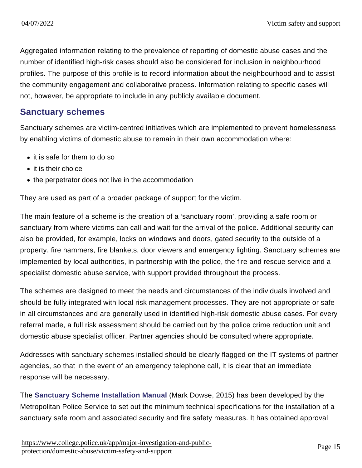Aggregated information relating to the prevalence of reporting of domestic abuse cases and the number of identified high-risk cases should also be considered for inclusion in neighbourhood profiles. The purpose of this profile is to record information about the neighbourhood and to assist the community engagement and collaborative process. Information relating to specific cases will not, however, be appropriate to include in any publicly available document.

#### Sanctuary schemes

Sanctuary schemes are victim-centred initiatives which are implemented to prevent homelessness by enabling victims of domestic abuse to remain in their own accommodation where:

- it is safe for them to do so
- it is their choice
- the perpetrator does not live in the accommodation

They are used as part of a broader package of support for the victim.

The main feature of a scheme is the creation of a 'sanctuary room', providing a safe room or sanctuary from where victims can call and wait for the arrival of the police. Additional security can also be provided, for example, locks on windows and doors, gated security to the outside of a property, fire hammers, fire blankets, door viewers and emergency lighting. Sanctuary schemes are implemented by local authorities, in partnership with the police, the fire and rescue service and a specialist domestic abuse service, with support provided throughout the process.

The schemes are designed to meet the needs and circumstances of the individuals involved and should be fully integrated with local risk management processes. They are not appropriate or safe in all circumstances and are generally used in identified high-risk domestic abuse cases. For every referral made, a full risk assessment should be carried out by the police crime reduction unit and domestic abuse specialist officer. Partner agencies should be consulted where appropriate.

Addresses with sanctuary schemes installed should be clearly flagged on the IT systems of partner agencies, so that in the event of an emergency telephone call, it is clear that an immediate response will be necessary.

The [Sanctuary Scheme Installation Manual](https://library.college.police.uk/docs/appref/Sanctuary-Scheme-Installation-Manual-Final-2015.docx) (Mark Dowse, 2015) has been developed by the Metropolitan Police Service to set out the minimum technical specifications for the installation of a sanctuary safe room and associated security and fire safety measures. It has obtained approval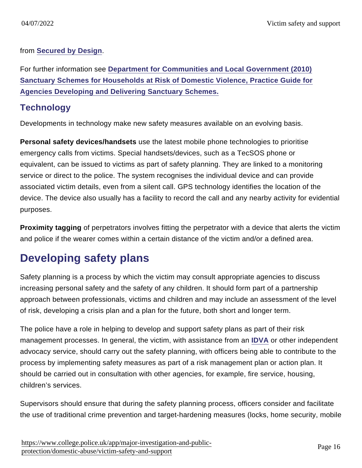from [Secured by Design](http://www.securedbydesign.com/) .

For further information see [Department for Communities and Local Government \(2010\)](https://www.gov.uk/government/publications/sanctuary-schemes-for-households-at-risk-of-domestic-violence-guide-for-agencies) [Sanctuary Schemes for Households at Risk of Domestic Violence, Practice Guide for](https://www.gov.uk/government/publications/sanctuary-schemes-for-households-at-risk-of-domestic-violence-guide-for-agencies) [Agencies Developing and Delivering Sanctuary Schemes.](https://www.gov.uk/government/publications/sanctuary-schemes-for-households-at-risk-of-domestic-violence-guide-for-agencies)

## **Technology**

Developments in technology make new safety measures available on an evolving basis.

Personal safety devices/handsets use the latest mobile phone technologies to prioritise emergency calls from victims. Special handsets/devices, such as a TecSOS phone or equivalent, can be issued to victims as part of safety planning. They are linked to a monitoring service or direct to the police. The system recognises the individual device and can provide associated victim details, even from a silent call. GPS technology identifies the location of the device. The device also usually has a facility to record the call and any nearby activity for evidential purposes.

Proximity tagging of perpetrators involves fitting the perpetrator with a device that alerts the victim and police if the wearer comes within a certain distance of the victim and/or a defined area.

# Developing safety plans

Safety planning is a process by which the victim may consult appropriate agencies to discuss increasing personal safety and the safety of any children. It should form part of a partnership approach between professionals, victims and children and may include an assessment of the level of risk, developing a crisis plan and a plan for the future, both short and longer term.

The police have a role in helping to develop and support safety plans as part of their risk management processes. In general, the victim, with assistance from an [IDVA](https://www.app.college.police.uk/app-content/major-investigation-and-public-protection/domestic-abuse/victim-safety-and-support/#independent-domestic-violence-adviser-young-people8217s-violence-adviser-and-independent-sexual-violence-advisers) or other independent advocacy service, should carry out the safety planning, with officers being able to contribute to the process by implementing safety measures as part of a risk management plan or action plan. It should be carried out in consultation with other agencies, for example, fire service, housing, children's services.

Supervisors should ensure that during the safety planning process, officers consider and facilitate the use of traditional crime prevention and target-hardening measures (locks, home security, mobile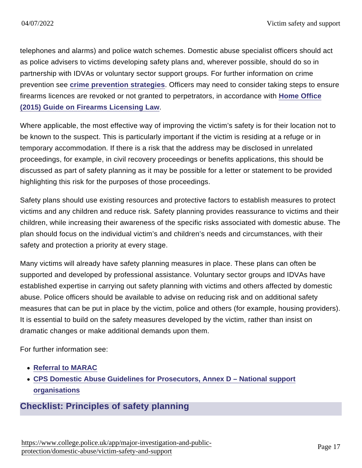telephones and alarms) and police watch schemes. Domestic abuse specialist officers should act as police advisers to victims developing safety plans and, wherever possible, should do so in partnership with IDVAs or voluntary sector support groups. For further information on crime prevention see [crime prevention strategies](https://www.app.college.police.uk/app-content/major-investigation-and-public-protection/domestic-abuse/victim-safety-and-support/#crime-prevention-strategies) . Officers may need to consider taking steps to ensure firearms licences are revoked or not granted to perpetrators, in accordance with [Home Office](https://www.gov.uk/government/uploads/system/uploads/attachment_data/file/417199/Guidance_on_Firearms_Licensing_Law_v13.pdf#page=99) [\(2015\) Guide on Firearms Licensing Law](https://www.gov.uk/government/uploads/system/uploads/attachment_data/file/417199/Guidance_on_Firearms_Licensing_Law_v13.pdf#page=99) .

Where applicable, the most effective way of improving the victim's safety is for their location not to be known to the suspect. This is particularly important if the victim is residing at a refuge or in temporary accommodation. If there is a risk that the address may be disclosed in unrelated proceedings, for example, in civil recovery proceedings or benefits applications, this should be discussed as part of safety planning as it may be possible for a letter or statement to be provided highlighting this risk for the purposes of those proceedings.

Safety plans should use existing resources and protective factors to establish measures to protect victims and any children and reduce risk. Safety planning provides reassurance to victims and their children, while increasing their awareness of the specific risks associated with domestic abuse. The plan should focus on the individual victim's and children's needs and circumstances, with their safety and protection a priority at every stage.

Many victims will already have safety planning measures in place. These plans can often be supported and developed by professional assistance. Voluntary sector groups and IDVAs have established expertise in carrying out safety planning with victims and others affected by domestic abuse. Police officers should be available to advise on reducing risk and on additional safety measures that can be put in place by the victim, police and others (for example, housing providers). It is essential to build on the safety measures developed by the victim, rather than insist on dramatic changes or make additional demands upon them.

For further information see:

- [Referral to MARAC](https://www.app.college.police.uk/app-content/major-investigation-and-public-protection/domestic-abuse/victim-safety-and-support/#referral-to-marac)
- [CPS Domestic Abuse Guidelines for Prosecutors, Annex D National support](http://www.cps.gov.uk/legal/d_to_g/domestic_abuse_guidelines_for_prosecutors/#a93) [organisations](http://www.cps.gov.uk/legal/d_to_g/domestic_abuse_guidelines_for_prosecutors/#a93)

## Checklist: Principles of safety planning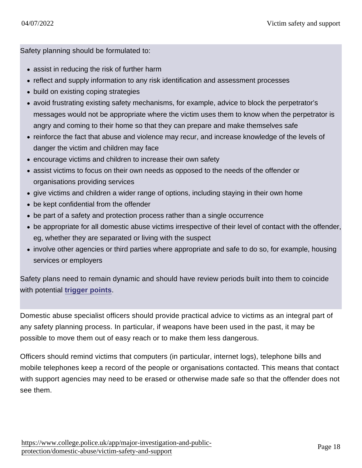Safety planning should be formulated to:

- assist in reducing the risk of further harm
- reflect and supply information to any risk identification and assessment processes
- build on existing coping strategies
- avoid frustrating existing safety mechanisms, for example, advice to block the perpetrator's messages would not be appropriate where the victim uses them to know when the perpetrator is angry and coming to their home so that they can prepare and make themselves safe
- reinforce the fact that abuse and violence may recur, and increase knowledge of the levels of danger the victim and children may face
- encourage victims and children to increase their own safety
- assist victims to focus on their own needs as opposed to the needs of the offender or organisations providing services
- give victims and children a wider range of options, including staying in their own home
- be kept confidential from the offender
- be part of a safety and protection process rather than a single occurrence
- be appropriate for all domestic abuse victims irrespective of their level of contact with the offender, eg, whether they are separated or living with the suspect
- involve other agencies or third parties where appropriate and safe to do so, for example, housing services or employers

Safety plans need to remain dynamic and should have review periods built into them to coincide with potential [trigger points](https://www.app.college.police.uk/app-content/major-investigation-and-public-protection/domestic-abuse/victim-safety-and-support/#introduction).

Domestic abuse specialist officers should provide practical advice to victims as an integral part of any safety planning process. In particular, if weapons have been used in the past, it may be possible to move them out of easy reach or to make them less dangerous.

Officers should remind victims that computers (in particular, internet logs), telephone bills and mobile telephones keep a record of the people or organisations contacted. This means that contact with support agencies may need to be erased or otherwise made safe so that the offender does not see them.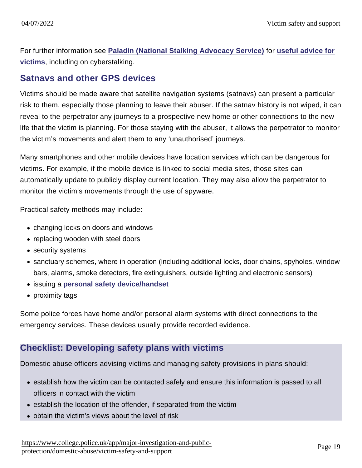For further information see [Paladin \(National Stalking Advocacy Service\)](http://paladinservice.co.uk/) for [useful advice for](http://paladinservice.co.uk/advice-for-victims/) [victims](http://paladinservice.co.uk/advice-for-victims/) , including on cyberstalking.

## Satnavs and other GPS devices

Victims should be made aware that satellite navigation systems (satnavs) can present a particular risk to them, especially those planning to leave their abuser. If the satnav history is not wiped, it can reveal to the perpetrator any journeys to a prospective new home or other connections to the new life that the victim is planning. For those staying with the abuser, it allows the perpetrator to monitor the victim's movements and alert them to any 'unauthorised' journeys.

Many smartphones and other mobile devices have location services which can be dangerous for victims. For example, if the mobile device is linked to social media sites, those sites can automatically update to publicly display current location. They may also allow the perpetrator to monitor the victim's movements through the use of spyware.

Practical safety methods may include:

- changing locks on doors and windows
- replacing wooden with steel doors
- security systems
- sanctuary schemes, where in operation (including additional locks, door chains, spyholes, window bars, alarms, smoke detectors, fire extinguishers, outside lighting and electronic sensors)
- issuing a [personal safety device/handset](https://www.app.college.police.uk/app-content/major-investigation-and-public-protection/domestic-abuse/victim-safety-and-support/#technology)
- proximity tags

Some police forces have home and/or personal alarm systems with direct connections to the emergency services. These devices usually provide recorded evidence.

## Checklist: Developing safety plans with victims

Domestic abuse officers advising victims and managing safety provisions in plans should:

- establish how the victim can be contacted safely and ensure this information is passed to all officers in contact with the victim
- establish the location of the offender, if separated from the victim
- obtain the victim's views about the level of risk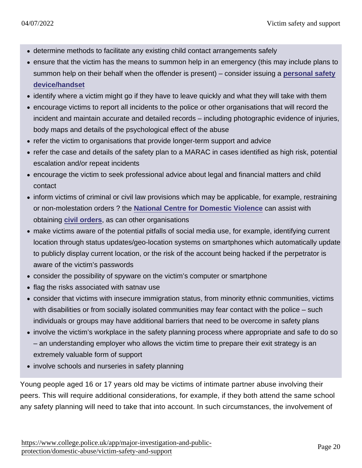- determine methods to facilitate any existing child contact arrangements safely
- ensure that the victim has the means to summon help in an emergency (this may include plans to summon help on their behalf when the offender is present) – consider issuing a [personal safety](https://www.app.college.police.uk/app-content/major-investigation-and-public-protection/domestic-abuse/victim-safety-and-support/#technology) [device/handset](https://www.app.college.police.uk/app-content/major-investigation-and-public-protection/domestic-abuse/victim-safety-and-support/#technology)
- identify where a victim might go if they have to leave quickly and what they will take with them
- encourage victims to report all incidents to the police or other organisations that will record the incident and maintain accurate and detailed records – including photographic evidence of injuries, body maps and details of the psychological effect of the abuse
- refer the victim to organisations that provide longer-term support and advice
- refer the case and details of the safety plan to a MARAC in cases identified as high risk, potential escalation and/or repeat incidents
- encourage the victim to seek professional advice about legal and financial matters and child contact
- inform victims of criminal or civil law provisions which may be applicable, for example, restraining or non-molestation orders ? the [National Centre for Domestic Violence](http://www.ncdv.org.uk/) can assist with obtaining [civil orders](https://www.app.college.police.uk/app-content/major-investigation-and-public-protection/domestic-abuse/arrest-and-other-positive-approaches/#civil-orders) , as can other organisations
- make victims aware of the potential pitfalls of social media use, for example, identifying current location through status updates/geo-location systems on smartphones which automatically update to publicly display current location, or the risk of the account being hacked if the perpetrator is aware of the victim's passwords
- consider the possibility of spyware on the victim's computer or smartphone
- flag the risks associated with satnav use
- consider that victims with insecure immigration status, from minority ethnic communities, victims with disabilities or from socially isolated communities may fear contact with the police – such individuals or groups may have additional barriers that need to be overcome in safety plans
- involve the victim's workplace in the safety planning process where appropriate and safe to do so – an understanding employer who allows the victim time to prepare their exit strategy is an extremely valuable form of support
- involve schools and nurseries in safety planning

Young people aged 16 or 17 years old may be victims of intimate partner abuse involving their peers. This will require additional considerations, for example, if they both attend the same school any safety planning will need to take that into account. In such circumstances, the involvement of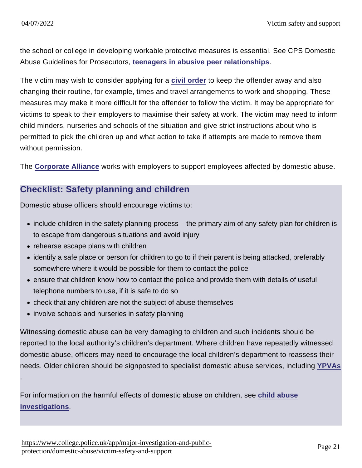.

the school or college in developing workable protective measures is essential. See CPS Domestic Abuse Guidelines for Prosecutors, [teenagers in abusive peer relationships](http://www.cps.gov.uk/legal/d_to_g/domestic_abuse_guidelines_for_prosecutors/#a72) .

The victim may wish to consider applying for a [civil order](https://www.app.college.police.uk/app-content/major-investigation-and-public-protection/domestic-abuse/arrest-and-other-positive-approaches/#civil-orders) to keep the offender away and also changing their routine, for example, times and travel arrangements to work and shopping. These measures may make it more difficult for the offender to follow the victim. It may be appropriate for victims to speak to their employers to maximise their safety at work. The victim may need to inform child minders, nurseries and schools of the situation and give strict instructions about who is permitted to pick the children up and what action to take if attempts are made to remove them without permission.

The [Corporate Alliance](http://www.caadv.org.uk/) works with employers to support employees affected by domestic abuse.

## Checklist: Safety planning and children

Domestic abuse officers should encourage victims to:

- include children in the safety planning process the primary aim of any safety plan for children is to escape from dangerous situations and avoid injury
- rehearse escape plans with children
- identify a safe place or person for children to go to if their parent is being attacked, preferably somewhere where it would be possible for them to contact the police
- ensure that children know how to contact the police and provide them with details of useful telephone numbers to use, if it is safe to do so
- check that any children are not the subject of abuse themselves
- involve schools and nurseries in safety planning

Witnessing domestic abuse can be very damaging to children and such incidents should be reported to the local authority's children's department. Where children have repeatedly witnessed domestic abuse, officers may need to encourage the local children's department to reassess their needs. Older children should be signposted to specialist domestic abuse services, including [YPVAs](https://www.app.college.police.uk/app-content/major-investigation-and-public-protection/domestic-abuse/victim-safety-and-support/#independent-domestic-violence-adviser-young-people8217s-violence-adviser-and-independent-sexual-violence-advisers)

For information on the harmful effects of domestic abuse on children, see [child abuse](https://www.app.college.police.uk/app-content/major-investigation-and-public-protection/domestic-abuse/identification-reporting-and-associated-investigations/#child-abuse-investigations) [investigations](https://www.app.college.police.uk/app-content/major-investigation-and-public-protection/domestic-abuse/identification-reporting-and-associated-investigations/#child-abuse-investigations) .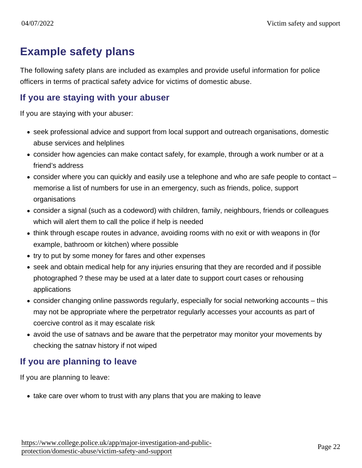# Example safety plans

The following safety plans are included as examples and provide useful information for police officers in terms of practical safety advice for victims of domestic abuse.

#### If you are staying with your abuser

If you are staying with your abuser:

- seek professional advice and support from local support and outreach organisations, domestic abuse services and helplines
- consider how agencies can make contact safely, for example, through a work number or at a friend's address
- consider where you can quickly and easily use a telephone and who are safe people to contact memorise a list of numbers for use in an emergency, such as friends, police, support organisations
- consider a signal (such as a codeword) with children, family, neighbours, friends or colleagues which will alert them to call the police if help is needed
- think through escape routes in advance, avoiding rooms with no exit or with weapons in (for example, bathroom or kitchen) where possible
- try to put by some money for fares and other expenses
- seek and obtain medical help for any injuries ensuring that they are recorded and if possible photographed ? these may be used at a later date to support court cases or rehousing applications
- consider changing online passwords regularly, especially for social networking accounts this may not be appropriate where the perpetrator regularly accesses your accounts as part of coercive control as it may escalate risk
- avoid the use of satnavs and be aware that the perpetrator may monitor your movements by checking the satnav history if not wiped

## If you are planning to leave

If you are planning to leave:

• take care over whom to trust with any plans that you are making to leave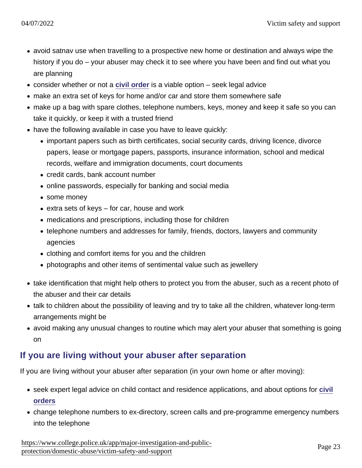- avoid satnav use when travelling to a prospective new home or destination and always wipe the history if you do – your abuser may check it to see where you have been and find out what you are planning
- consider whether or not a [civil order](https://www.app.college.police.uk/app-content/major-investigation-and-public-protection/domestic-abuse/arrest-and-other-positive-approaches/#civil-orders) is a viable option seek legal advice
- make an extra set of keys for home and/or car and store them somewhere safe
- make up a bag with spare clothes, telephone numbers, keys, money and keep it safe so you can take it quickly, or keep it with a trusted friend
- have the following available in case you have to leave quickly:
	- important papers such as birth certificates, social security cards, driving licence, divorce papers, lease or mortgage papers, passports, insurance information, school and medical records, welfare and immigration documents, court documents
	- credit cards, bank account number
	- online passwords, especially for banking and social media
	- some money
	- $\bullet$  extra sets of keys for car, house and work
	- medications and prescriptions, including those for children
	- telephone numbers and addresses for family, friends, doctors, lawyers and community agencies
	- clothing and comfort items for you and the children
	- photographs and other items of sentimental value such as jewellery
- take identification that might help others to protect you from the abuser, such as a recent photo of the abuser and their car details
- talk to children about the possibility of leaving and try to take all the children, whatever long-term arrangements might be
- avoid making any unusual changes to routine which may alert your abuser that something is going on

## If you are living without your abuser after separation

If you are living without your abuser after separation (in your own home or after moving):

- seek expert legal advice on child contact and residence applications, and about options for [civil](https://www.app.college.police.uk/app-content/major-investigation-and-public-protection/domestic-abuse/arrest-and-other-positive-approaches/#civil-orders) [orders](https://www.app.college.police.uk/app-content/major-investigation-and-public-protection/domestic-abuse/arrest-and-other-positive-approaches/#civil-orders)
- change telephone numbers to ex-directory, screen calls and pre-programme emergency numbers into the telephone